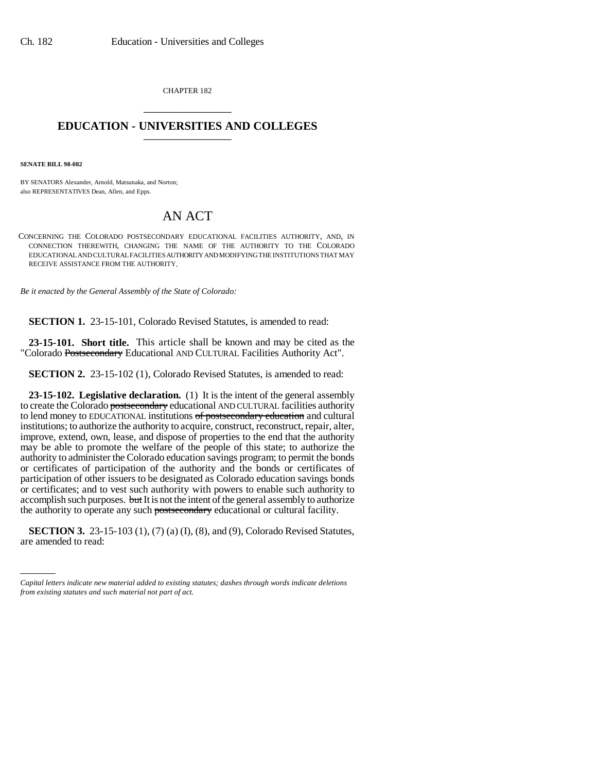CHAPTER 182 \_\_\_\_\_\_\_\_\_\_\_\_\_\_\_

## **EDUCATION - UNIVERSITIES AND COLLEGES** \_\_\_\_\_\_\_\_\_\_\_\_\_\_\_

**SENATE BILL 98-082**

BY SENATORS Alexander, Arnold, Matsunaka, and Norton; also REPRESENTATIVES Dean, Allen, and Epps.

## AN ACT

CONCERNING THE COLORADO POSTSECONDARY EDUCATIONAL FACILITIES AUTHORITY, AND, IN CONNECTION THEREWITH, CHANGING THE NAME OF THE AUTHORITY TO THE COLORADO EDUCATIONAL AND CULTURAL FACILITIES AUTHORITY AND MODIFYING THE INSTITUTIONS THAT MAY RECEIVE ASSISTANCE FROM THE AUTHORITY.

*Be it enacted by the General Assembly of the State of Colorado:*

**SECTION 1.** 23-15-101, Colorado Revised Statutes, is amended to read:

**23-15-101. Short title.** This article shall be known and may be cited as the "Colorado Postsecondary Educational AND CULTURAL Facilities Authority Act".

**SECTION 2.** 23-15-102 (1), Colorado Revised Statutes, is amended to read:

**23-15-102. Legislative declaration.** (1) It is the intent of the general assembly to create the Colorado postsecondary educational AND CULTURAL facilities authority to lend money to EDUCATIONAL institutions of postsecondary education and cultural institutions; to authorize the authority to acquire, construct, reconstruct, repair, alter, improve, extend, own, lease, and dispose of properties to the end that the authority may be able to promote the welfare of the people of this state; to authorize the authority to administer the Colorado education savings program; to permit the bonds or certificates of participation of the authority and the bonds or certificates of participation of other issuers to be designated as Colorado education savings bonds or certificates; and to vest such authority with powers to enable such authority to accomplish such purposes. but It is not the intent of the general assembly to authorize the authority to operate any such postsecondary educational or cultural facility.

are amended to read:**SECTION 3.** 23-15-103 (1), (7) (a) (I), (8), and (9), Colorado Revised Statutes,

*Capital letters indicate new material added to existing statutes; dashes through words indicate deletions from existing statutes and such material not part of act.*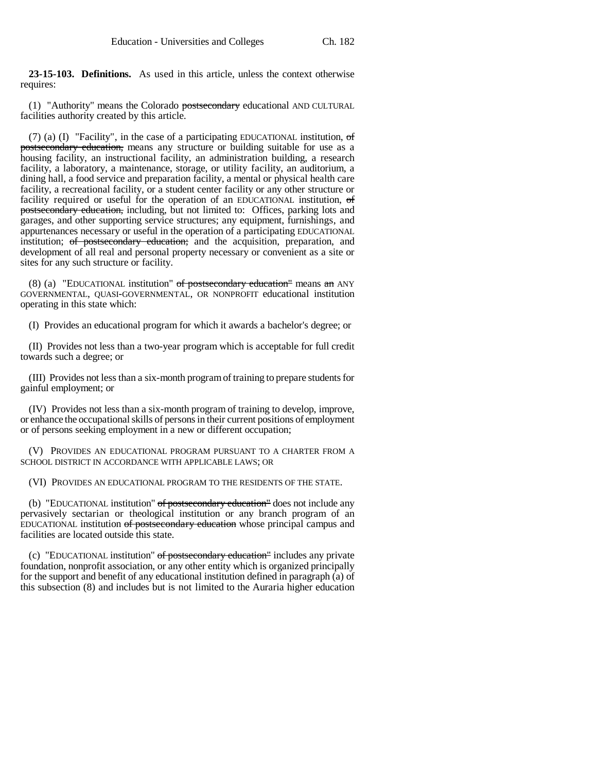**23-15-103. Definitions.** As used in this article, unless the context otherwise requires:

(1) "Authority" means the Colorado postsecondary educational AND CULTURAL facilities authority created by this article.

(7) (a) (I) "Facility", in the case of a participating EDUCATIONAL institution,  $\sigma f$ postsecondary education, means any structure or building suitable for use as a housing facility, an instructional facility, an administration building, a research facility, a laboratory, a maintenance, storage, or utility facility, an auditorium, a dining hall, a food service and preparation facility, a mental or physical health care facility, a recreational facility, or a student center facility or any other structure or facility required or useful for the operation of an EDUCATIONAL institution, of postsecondary education, including, but not limited to: Offices, parking lots and garages, and other supporting service structures; any equipment, furnishings, and appurtenances necessary or useful in the operation of a participating EDUCATIONAL institution; of postsecondary education; and the acquisition, preparation, and development of all real and personal property necessary or convenient as a site or sites for any such structure or facility.

(8) (a) "EDUCATIONAL institution" of postsecondary education" means an ANY GOVERNMENTAL, QUASI-GOVERNMENTAL, OR NONPROFIT educational institution operating in this state which:

(I) Provides an educational program for which it awards a bachelor's degree; or

(II) Provides not less than a two-year program which is acceptable for full credit towards such a degree; or

(III) Provides not less than a six-month program of training to prepare students for gainful employment; or

(IV) Provides not less than a six-month program of training to develop, improve, or enhance the occupational skills of persons in their current positions of employment or of persons seeking employment in a new or different occupation;

(V) PROVIDES AN EDUCATIONAL PROGRAM PURSUANT TO A CHARTER FROM A SCHOOL DISTRICT IN ACCORDANCE WITH APPLICABLE LAWS; OR

(VI) PROVIDES AN EDUCATIONAL PROGRAM TO THE RESIDENTS OF THE STATE.

(b) "EDUCATIONAL institution" of postsecondary education" does not include any pervasively sectarian or theological institution or any branch program of an EDUCATIONAL institution of postsecondary education whose principal campus and facilities are located outside this state.

(c) "EDUCATIONAL institution" of postsecondary education" includes any private foundation, nonprofit association, or any other entity which is organized principally for the support and benefit of any educational institution defined in paragraph (a) of this subsection (8) and includes but is not limited to the Auraria higher education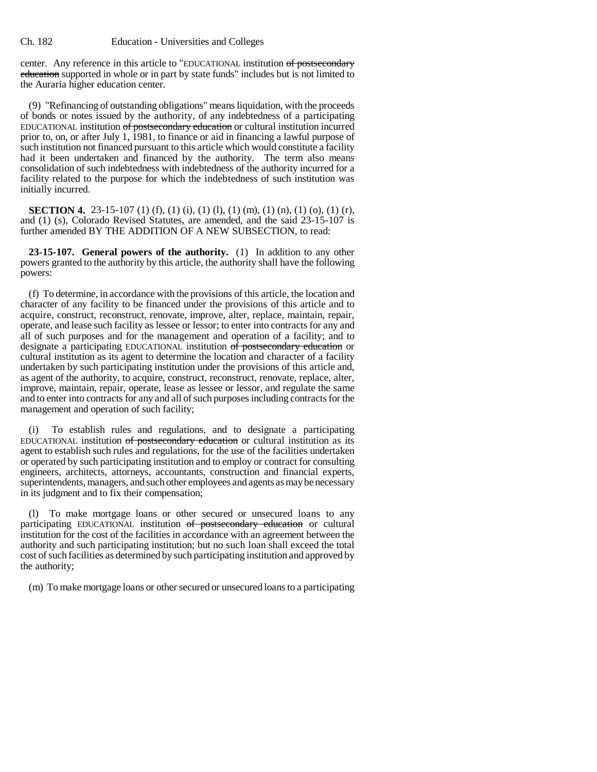center. Any reference in this article to "EDUCATIONAL institution of postsecondary education supported in whole or in part by state funds" includes but is not limited to the Auraria higher education center.

(9) "Refinancing of outstanding obligations" means liquidation, with the proceeds of bonds or notes issued by the authority, of any indebtedness of a participating EDUCATIONAL institution of postsecondary education or cultural institution incurred prior to, on, or after July 1, 1981, to finance or aid in financing a lawful purpose of such institution not financed pursuant to this article which would constitute a facility had it been undertaken and financed by the authority. The term also means consolidation of such indebtedness with indebtedness of the authority incurred for a facility related to the purpose for which the indebtedness of such institution was initially incurred.

**SECTION 4.** 23-15-107 (1) (f), (1) (i), (1) (l), (1) (m), (1) (n), (1) (o), (1) (r), and (1) (s), Colorado Revised Statutes, are amended, and the said 23-15-107 is further amended BY THE ADDITION OF A NEW SUBSECTION, to read:

**23-15-107. General powers of the authority.** (1) In addition to any other powers granted to the authority by this article, the authority shall have the following powers:

(f) To determine, in accordance with the provisions of this article, the location and character of any facility to be financed under the provisions of this article and to acquire, construct, reconstruct, renovate, improve, alter, replace, maintain, repair, operate, and lease such facility as lessee or lessor; to enter into contracts for any and all of such purposes and for the management and operation of a facility; and to designate a participating EDUCATIONAL institution of postsecondary education or cultural institution as its agent to determine the location and character of a facility undertaken by such participating institution under the provisions of this article and, as agent of the authority, to acquire, construct, reconstruct, renovate, replace, alter, improve, maintain, repair, operate, lease as lessee or lessor, and regulate the same and to enter into contracts for any and all of such purposes including contracts for the management and operation of such facility;

(i) To establish rules and regulations, and to designate a participating EDUCATIONAL institution of postsecondary education or cultural institution as its agent to establish such rules and regulations, for the use of the facilities undertaken or operated by such participating institution and to employ or contract for consulting engineers, architects, attorneys, accountants, construction and financial experts, superintendents, managers, and such other employees and agents as may be necessary in its judgment and to fix their compensation;

(l) To make mortgage loans or other secured or unsecured loans to any participating EDUCATIONAL institution of postsecondary education or cultural institution for the cost of the facilities in accordance with an agreement between the authority and such participating institution; but no such loan shall exceed the total cost of such facilities as determined by such participating institution and approved by the authority;

(m) To make mortgage loans or other secured or unsecured loans to a participating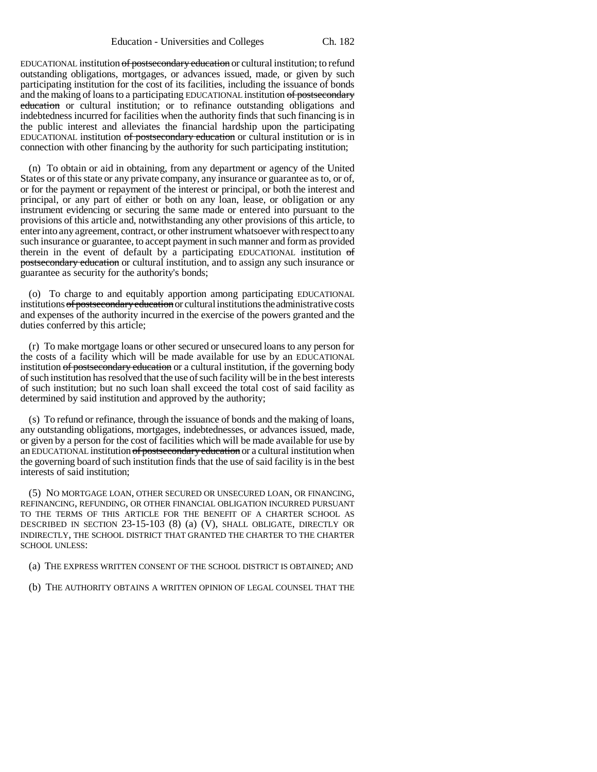EDUCATIONAL institution of postsecondary education or cultural institution; to refund outstanding obligations, mortgages, or advances issued, made, or given by such participating institution for the cost of its facilities, including the issuance of bonds and the making of loans to a participating EDUCATIONAL institution of postsecondary education or cultural institution; or to refinance outstanding obligations and indebtedness incurred for facilities when the authority finds that such financing is in the public interest and alleviates the financial hardship upon the participating EDUCATIONAL institution of postsecondary education or cultural institution or is in connection with other financing by the authority for such participating institution;

(n) To obtain or aid in obtaining, from any department or agency of the United States or of this state or any private company, any insurance or guarantee as to, or of, or for the payment or repayment of the interest or principal, or both the interest and principal, or any part of either or both on any loan, lease, or obligation or any instrument evidencing or securing the same made or entered into pursuant to the provisions of this article and, notwithstanding any other provisions of this article, to enter into any agreement, contract, or other instrument whatsoever with respect to any such insurance or guarantee, to accept payment in such manner and form as provided therein in the event of default by a participating EDUCATIONAL institution of postsecondary education or cultural institution, and to assign any such insurance or guarantee as security for the authority's bonds;

(o) To charge to and equitably apportion among participating EDUCATIONAL institutions of postsecondary education or cultural institutions the administrative costs and expenses of the authority incurred in the exercise of the powers granted and the duties conferred by this article;

(r) To make mortgage loans or other secured or unsecured loans to any person for the costs of a facility which will be made available for use by an EDUCATIONAL institution of postsecondary education or a cultural institution, if the governing body of such institution has resolved that the use of such facility will be in the best interests of such institution; but no such loan shall exceed the total cost of said facility as determined by said institution and approved by the authority;

(s) To refund or refinance, through the issuance of bonds and the making of loans, any outstanding obligations, mortgages, indebtednesses, or advances issued, made, or given by a person for the cost of facilities which will be made available for use by an EDUCATIONAL institution of postsecondary education or a cultural institution when the governing board of such institution finds that the use of said facility is in the best interests of said institution;

(5) NO MORTGAGE LOAN, OTHER SECURED OR UNSECURED LOAN, OR FINANCING, REFINANCING, REFUNDING, OR OTHER FINANCIAL OBLIGATION INCURRED PURSUANT TO THE TERMS OF THIS ARTICLE FOR THE BENEFIT OF A CHARTER SCHOOL AS DESCRIBED IN SECTION 23-15-103 (8) (a) (V), SHALL OBLIGATE, DIRECTLY OR INDIRECTLY, THE SCHOOL DISTRICT THAT GRANTED THE CHARTER TO THE CHARTER SCHOOL UNLESS:

(a) THE EXPRESS WRITTEN CONSENT OF THE SCHOOL DISTRICT IS OBTAINED; AND

(b) THE AUTHORITY OBTAINS A WRITTEN OPINION OF LEGAL COUNSEL THAT THE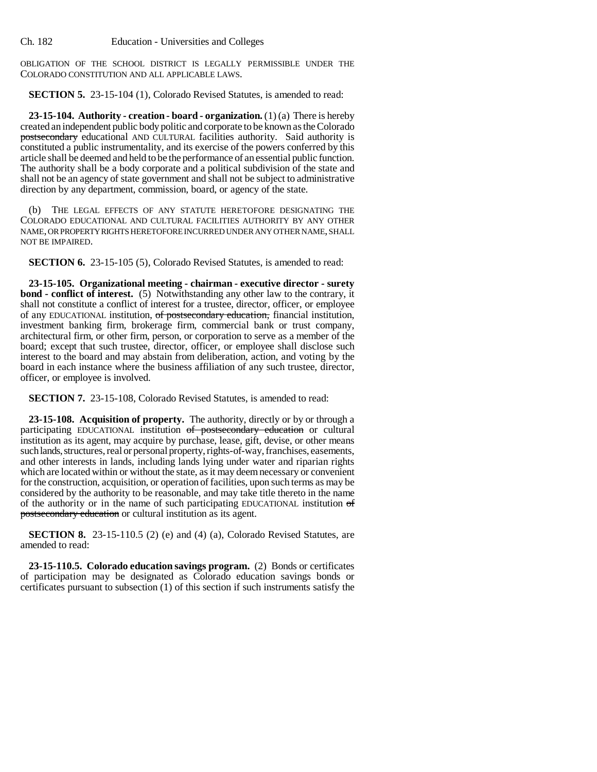OBLIGATION OF THE SCHOOL DISTRICT IS LEGALLY PERMISSIBLE UNDER THE COLORADO CONSTITUTION AND ALL APPLICABLE LAWS.

**SECTION 5.** 23-15-104 (1), Colorado Revised Statutes, is amended to read:

**23-15-104. Authority - creation - board - organization.** (1) (a) There is hereby created an independent public body politic and corporate to be known as the Colorado postsecondary educational AND CULTURAL facilities authority. Said authority is constituted a public instrumentality, and its exercise of the powers conferred by this article shall be deemed and held to be the performance of an essential public function. The authority shall be a body corporate and a political subdivision of the state and shall not be an agency of state government and shall not be subject to administrative direction by any department, commission, board, or agency of the state.

(b) THE LEGAL EFFECTS OF ANY STATUTE HERETOFORE DESIGNATING THE COLORADO EDUCATIONAL AND CULTURAL FACILITIES AUTHORITY BY ANY OTHER NAME, OR PROPERTY RIGHTS HERETOFORE INCURRED UNDER ANY OTHER NAME, SHALL NOT BE IMPAIRED.

**SECTION 6.** 23-15-105 (5), Colorado Revised Statutes, is amended to read:

**23-15-105. Organizational meeting - chairman - executive director - surety bond - conflict of interest.** (5) Notwithstanding any other law to the contrary, it shall not constitute a conflict of interest for a trustee, director, officer, or employee of any EDUCATIONAL institution, of postsecondary education, financial institution, investment banking firm, brokerage firm, commercial bank or trust company, architectural firm, or other firm, person, or corporation to serve as a member of the board; except that such trustee, director, officer, or employee shall disclose such interest to the board and may abstain from deliberation, action, and voting by the board in each instance where the business affiliation of any such trustee, director, officer, or employee is involved.

**SECTION 7.** 23-15-108, Colorado Revised Statutes, is amended to read:

**23-15-108. Acquisition of property.** The authority, directly or by or through a participating EDUCATIONAL institution of postsecondary education or cultural institution as its agent, may acquire by purchase, lease, gift, devise, or other means such lands, structures, real or personal property, rights-of-way, franchises, easements, and other interests in lands, including lands lying under water and riparian rights which are located within or without the state, as it may deem necessary or convenient for the construction, acquisition, or operation of facilities, upon such terms as may be considered by the authority to be reasonable, and may take title thereto in the name of the authority or in the name of such participating EDUCATIONAL institution of postsecondary education or cultural institution as its agent.

**SECTION 8.** 23-15-110.5 (2) (e) and (4) (a), Colorado Revised Statutes, are amended to read:

**23-15-110.5. Colorado education savings program.** (2) Bonds or certificates of participation may be designated as Colorado education savings bonds or certificates pursuant to subsection (1) of this section if such instruments satisfy the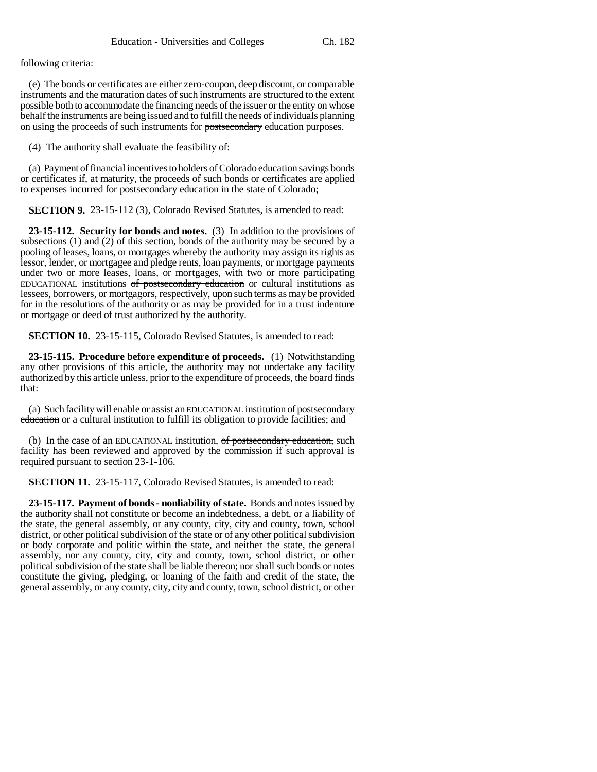following criteria:

(e) The bonds or certificates are either zero-coupon, deep discount, or comparable instruments and the maturation dates of such instruments are structured to the extent possible both to accommodate the financing needs of the issuer or the entity on whose behalf the instruments are being issued and to fulfill the needs of individuals planning on using the proceeds of such instruments for **postsecondary** education purposes.

(4) The authority shall evaluate the feasibility of:

(a) Payment of financial incentives to holders of Colorado education savings bonds or certificates if, at maturity, the proceeds of such bonds or certificates are applied to expenses incurred for postsecondary education in the state of Colorado;

**SECTION 9.** 23-15-112 (3), Colorado Revised Statutes, is amended to read:

**23-15-112. Security for bonds and notes.** (3) In addition to the provisions of subsections (1) and (2) of this section, bonds of the authority may be secured by a pooling of leases, loans, or mortgages whereby the authority may assign its rights as lessor, lender, or mortgagee and pledge rents, loan payments, or mortgage payments under two or more leases, loans, or mortgages, with two or more participating EDUCATIONAL institutions of postsecondary education or cultural institutions as lessees, borrowers, or mortgagors, respectively, upon such terms as may be provided for in the resolutions of the authority or as may be provided for in a trust indenture or mortgage or deed of trust authorized by the authority.

**SECTION 10.** 23-15-115, Colorado Revised Statutes, is amended to read:

**23-15-115. Procedure before expenditure of proceeds.** (1) Notwithstanding any other provisions of this article, the authority may not undertake any facility authorized by this article unless, prior to the expenditure of proceeds, the board finds that:

(a) Such facility will enable or assist an EDUCATIONAL institution of postsecondary education or a cultural institution to fulfill its obligation to provide facilities; and

(b) In the case of an EDUCATIONAL institution, of postsecondary education, such facility has been reviewed and approved by the commission if such approval is required pursuant to section 23-1-106.

**SECTION 11.** 23-15-117, Colorado Revised Statutes, is amended to read:

**23-15-117. Payment of bonds - nonliability of state.** Bonds and notes issued by the authority shall not constitute or become an indebtedness, a debt, or a liability of the state, the general assembly, or any county, city, city and county, town, school district, or other political subdivision of the state or of any other political subdivision or body corporate and politic within the state, and neither the state, the general assembly, nor any county, city, city and county, town, school district, or other political subdivision of the state shall be liable thereon; nor shall such bonds or notes constitute the giving, pledging, or loaning of the faith and credit of the state, the general assembly, or any county, city, city and county, town, school district, or other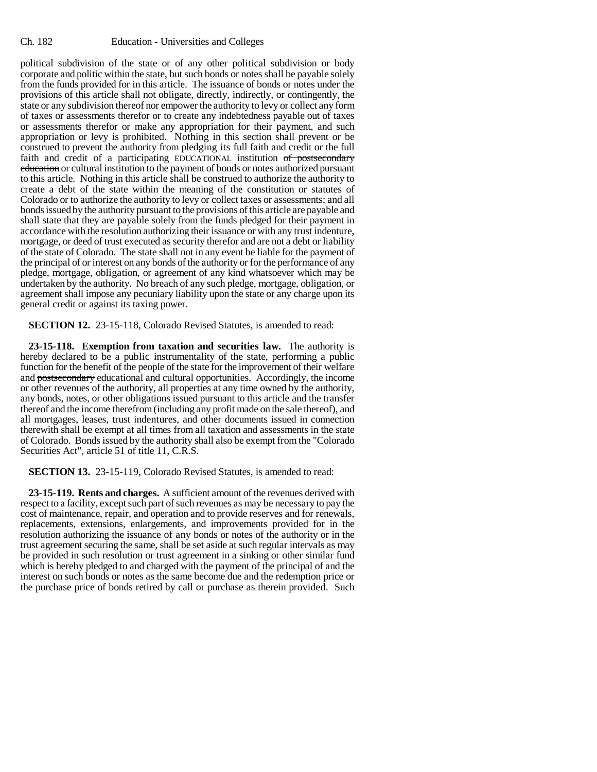political subdivision of the state or of any other political subdivision or body corporate and politic within the state, but such bonds or notes shall be payable solely from the funds provided for in this article. The issuance of bonds or notes under the provisions of this article shall not obligate, directly, indirectly, or contingently, the state or any subdivision thereof nor empower the authority to levy or collect any form of taxes or assessments therefor or to create any indebtedness payable out of taxes or assessments therefor or make any appropriation for their payment, and such appropriation or levy is prohibited. Nothing in this section shall prevent or be construed to prevent the authority from pledging its full faith and credit or the full faith and credit of a participating EDUCATIONAL institution of postsecondary education or cultural institution to the payment of bonds or notes authorized pursuant to this article. Nothing in this article shall be construed to authorize the authority to create a debt of the state within the meaning of the constitution or statutes of Colorado or to authorize the authority to levy or collect taxes or assessments; and all bonds issued by the authority pursuant to the provisions of this article are payable and shall state that they are payable solely from the funds pledged for their payment in accordance with the resolution authorizing their issuance or with any trust indenture, mortgage, or deed of trust executed as security therefor and are not a debt or liability of the state of Colorado. The state shall not in any event be liable for the payment of the principal of or interest on any bonds of the authority or for the performance of any pledge, mortgage, obligation, or agreement of any kind whatsoever which may be undertaken by the authority. No breach of any such pledge, mortgage, obligation, or agreement shall impose any pecuniary liability upon the state or any charge upon its general credit or against its taxing power.

**SECTION 12.** 23-15-118, Colorado Revised Statutes, is amended to read:

**23-15-118. Exemption from taxation and securities law.** The authority is hereby declared to be a public instrumentality of the state, performing a public function for the benefit of the people of the state for the improvement of their welfare and postsecondary educational and cultural opportunities. Accordingly, the income or other revenues of the authority, all properties at any time owned by the authority, any bonds, notes, or other obligations issued pursuant to this article and the transfer thereof and the income therefrom (including any profit made on the sale thereof), and all mortgages, leases, trust indentures, and other documents issued in connection therewith shall be exempt at all times from all taxation and assessments in the state of Colorado. Bonds issued by the authority shall also be exempt from the "Colorado Securities Act", article 51 of title 11, C.R.S.

**SECTION 13.** 23-15-119, Colorado Revised Statutes, is amended to read:

**23-15-119. Rents and charges.** A sufficient amount of the revenues derived with respect to a facility, except such part of such revenues as may be necessary to pay the cost of maintenance, repair, and operation and to provide reserves and for renewals, replacements, extensions, enlargements, and improvements provided for in the resolution authorizing the issuance of any bonds or notes of the authority or in the trust agreement securing the same, shall be set aside at such regular intervals as may be provided in such resolution or trust agreement in a sinking or other similar fund which is hereby pledged to and charged with the payment of the principal of and the interest on such bonds or notes as the same become due and the redemption price or the purchase price of bonds retired by call or purchase as therein provided. Such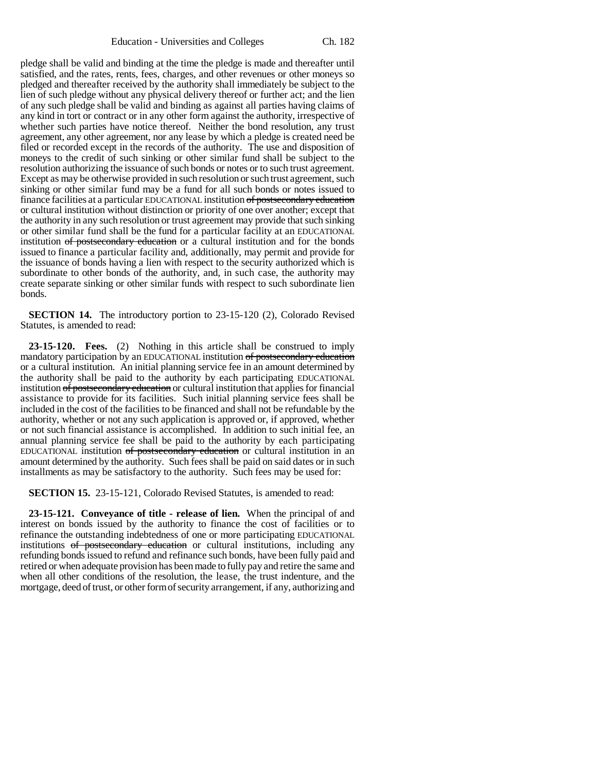pledge shall be valid and binding at the time the pledge is made and thereafter until satisfied, and the rates, rents, fees, charges, and other revenues or other moneys so pledged and thereafter received by the authority shall immediately be subject to the lien of such pledge without any physical delivery thereof or further act; and the lien of any such pledge shall be valid and binding as against all parties having claims of any kind in tort or contract or in any other form against the authority, irrespective of whether such parties have notice thereof. Neither the bond resolution, any trust agreement, any other agreement, nor any lease by which a pledge is created need be filed or recorded except in the records of the authority. The use and disposition of moneys to the credit of such sinking or other similar fund shall be subject to the resolution authorizing the issuance of such bonds or notes or to such trust agreement. Except as may be otherwise provided in such resolution or such trust agreement, such sinking or other similar fund may be a fund for all such bonds or notes issued to finance facilities at a particular EDUCATIONAL institution of postsecondary education or cultural institution without distinction or priority of one over another; except that the authority in any such resolution or trust agreement may provide that such sinking or other similar fund shall be the fund for a particular facility at an EDUCATIONAL institution of postsecondary education or a cultural institution and for the bonds issued to finance a particular facility and, additionally, may permit and provide for the issuance of bonds having a lien with respect to the security authorized which is subordinate to other bonds of the authority, and, in such case, the authority may create separate sinking or other similar funds with respect to such subordinate lien bonds.

**SECTION 14.** The introductory portion to 23-15-120 (2), Colorado Revised Statutes, is amended to read:

**23-15-120. Fees.** (2) Nothing in this article shall be construed to imply mandatory participation by an EDUCATIONAL institution of postsecondary education or a cultural institution. An initial planning service fee in an amount determined by the authority shall be paid to the authority by each participating EDUCATIONAL institution of postsecondary education or cultural institution that applies for financial assistance to provide for its facilities. Such initial planning service fees shall be included in the cost of the facilities to be financed and shall not be refundable by the authority, whether or not any such application is approved or, if approved, whether or not such financial assistance is accomplished. In addition to such initial fee, an annual planning service fee shall be paid to the authority by each participating EDUCATIONAL institution of postsecondary education or cultural institution in an amount determined by the authority. Such fees shall be paid on said dates or in such installments as may be satisfactory to the authority. Such fees may be used for:

**SECTION 15.** 23-15-121, Colorado Revised Statutes, is amended to read:

**23-15-121. Conveyance of title - release of lien.** When the principal of and interest on bonds issued by the authority to finance the cost of facilities or to refinance the outstanding indebtedness of one or more participating EDUCATIONAL institutions of postsecondary education or cultural institutions, including any refunding bonds issued to refund and refinance such bonds, have been fully paid and retired or when adequate provision has been made to fully pay and retire the same and when all other conditions of the resolution, the lease, the trust indenture, and the mortgage, deed of trust, or other form of security arrangement, if any, authorizing and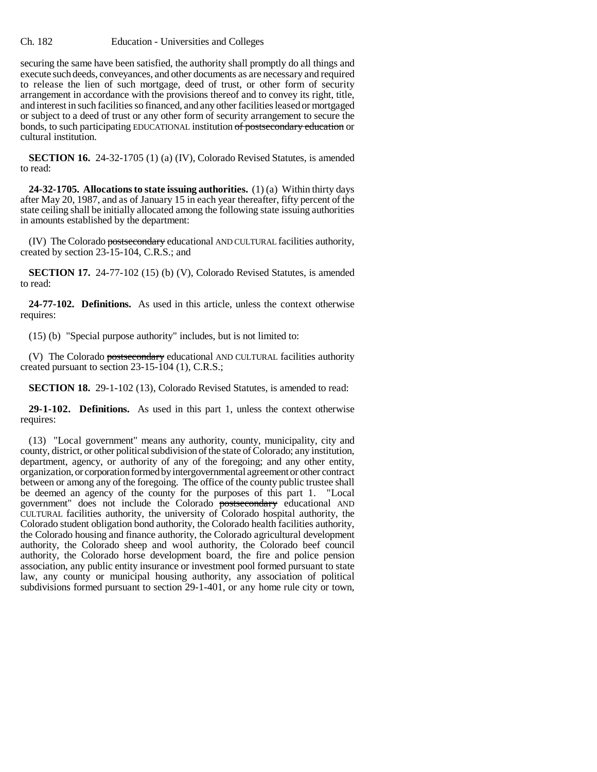securing the same have been satisfied, the authority shall promptly do all things and execute such deeds, conveyances, and other documents as are necessary and required to release the lien of such mortgage, deed of trust, or other form of security arrangement in accordance with the provisions thereof and to convey its right, title, and interest in such facilities so financed, and any other facilities leased or mortgaged or subject to a deed of trust or any other form of security arrangement to secure the bonds, to such participating EDUCATIONAL institution of postsecondary education or cultural institution.

**SECTION 16.** 24-32-1705 (1) (a) (IV), Colorado Revised Statutes, is amended to read:

**24-32-1705. Allocations to state issuing authorities.** (1) (a) Within thirty days after May 20, 1987, and as of January 15 in each year thereafter, fifty percent of the state ceiling shall be initially allocated among the following state issuing authorities in amounts established by the department:

(IV) The Colorado postsecondary educational AND CULTURAL facilities authority, created by section 23-15-104, C.R.S.; and

**SECTION 17.** 24-77-102 (15) (b) (V), Colorado Revised Statutes, is amended to read:

**24-77-102. Definitions.** As used in this article, unless the context otherwise requires:

(15) (b) "Special purpose authority" includes, but is not limited to:

(V) The Colorado postsecondary educational AND CULTURAL facilities authority created pursuant to section 23-15-104 (1), C.R.S.;

**SECTION 18.** 29-1-102 (13), Colorado Revised Statutes, is amended to read:

**29-1-102. Definitions.** As used in this part 1, unless the context otherwise requires:

(13) "Local government" means any authority, county, municipality, city and county, district, or other political subdivision of the state of Colorado; any institution, department, agency, or authority of any of the foregoing; and any other entity, organization, or corporation formed by intergovernmental agreement or other contract between or among any of the foregoing. The office of the county public trustee shall be deemed an agency of the county for the purposes of this part 1. "Local government" does not include the Colorado postsecondary educational AND CULTURAL facilities authority, the university of Colorado hospital authority, the Colorado student obligation bond authority, the Colorado health facilities authority, the Colorado housing and finance authority, the Colorado agricultural development authority, the Colorado sheep and wool authority, the Colorado beef council authority, the Colorado horse development board, the fire and police pension association, any public entity insurance or investment pool formed pursuant to state law, any county or municipal housing authority, any association of political subdivisions formed pursuant to section 29-1-401, or any home rule city or town,